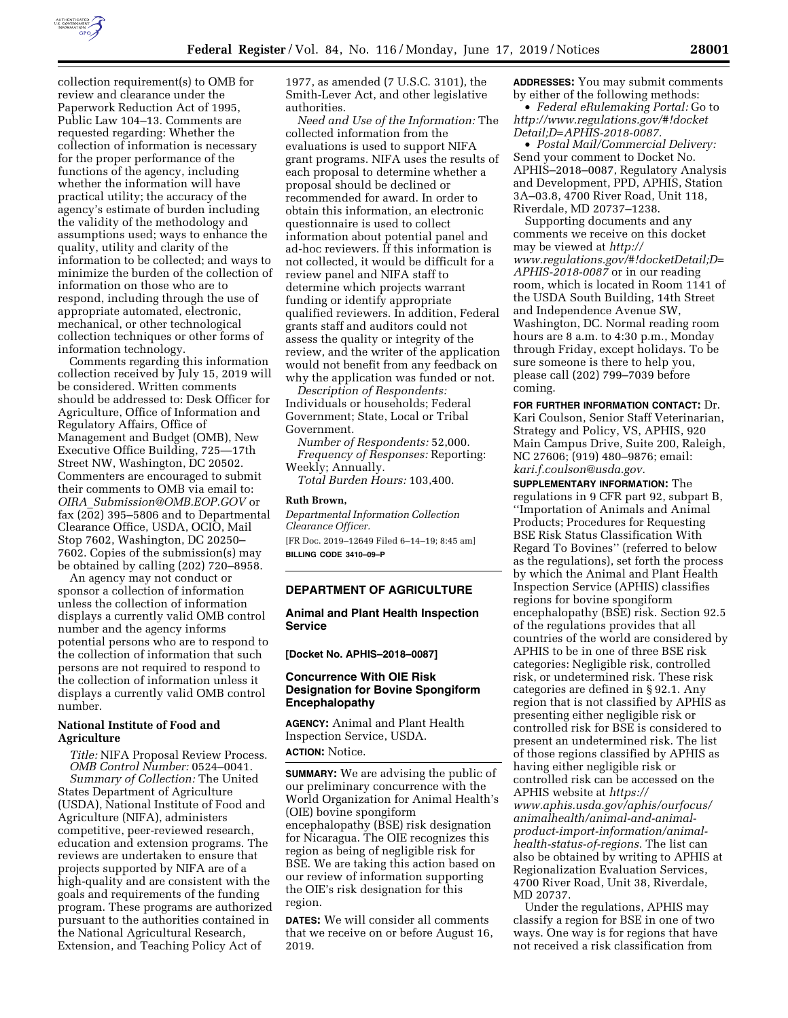

collection requirement(s) to OMB for review and clearance under the Paperwork Reduction Act of 1995, Public Law 104–13. Comments are requested regarding: Whether the collection of information is necessary for the proper performance of the functions of the agency, including whether the information will have practical utility; the accuracy of the agency's estimate of burden including the validity of the methodology and assumptions used; ways to enhance the quality, utility and clarity of the information to be collected; and ways to minimize the burden of the collection of information on those who are to respond, including through the use of appropriate automated, electronic, mechanical, or other technological collection techniques or other forms of information technology.

Comments regarding this information collection received by July 15, 2019 will be considered. Written comments should be addressed to: Desk Officer for Agriculture, Office of Information and Regulatory Affairs, Office of Management and Budget (OMB), New Executive Office Building, 725—17th Street NW, Washington, DC 20502. Commenters are encouraged to submit their comments to OMB via email to: *OIRA*\_*[Submission@OMB.EOP.GOV](mailto:OIRA_Submission@OMB.EOP.GOV)* or fax (202) 395–5806 and to Departmental Clearance Office, USDA, OCIO, Mail Stop 7602, Washington, DC 20250– 7602. Copies of the submission(s) may be obtained by calling (202) 720–8958.

An agency may not conduct or sponsor a collection of information unless the collection of information displays a currently valid OMB control number and the agency informs potential persons who are to respond to the collection of information that such persons are not required to respond to the collection of information unless it displays a currently valid OMB control number.

## **National Institute of Food and Agriculture**

*Title:* NIFA Proposal Review Process. *OMB Control Number:* 0524–0041. *Summary of Collection:* The United States Department of Agriculture (USDA), National Institute of Food and Agriculture (NIFA), administers competitive, peer-reviewed research, education and extension programs. The reviews are undertaken to ensure that projects supported by NIFA are of a high-quality and are consistent with the goals and requirements of the funding program. These programs are authorized pursuant to the authorities contained in the National Agricultural Research, Extension, and Teaching Policy Act of

1977, as amended (7 U.S.C. 3101), the Smith-Lever Act, and other legislative authorities.

*Need and Use of the Information:* The collected information from the evaluations is used to support NIFA grant programs. NIFA uses the results of each proposal to determine whether a proposal should be declined or recommended for award. In order to obtain this information, an electronic questionnaire is used to collect information about potential panel and ad-hoc reviewers. If this information is not collected, it would be difficult for a review panel and NIFA staff to determine which projects warrant funding or identify appropriate qualified reviewers. In addition, Federal grants staff and auditors could not assess the quality or integrity of the review, and the writer of the application would not benefit from any feedback on why the application was funded or not.

*Description of Respondents:*  Individuals or households; Federal Government; State, Local or Tribal Government.

*Number of Respondents:* 52,000. *Frequency of Responses:* Reporting: Weekly; Annually.

*Total Burden Hours:* 103,400.

#### **Ruth Brown,**

*Departmental Information Collection Clearance Officer.*  [FR Doc. 2019–12649 Filed 6–14–19; 8:45 am] **BILLING CODE 3410–09–P** 

### **DEPARTMENT OF AGRICULTURE**

**Animal and Plant Health Inspection Service** 

**[Docket No. APHIS–2018–0087]** 

## **Concurrence With OIE Risk Designation for Bovine Spongiform Encephalopathy**

**AGENCY:** Animal and Plant Health Inspection Service, USDA. **ACTION:** Notice.

**SUMMARY:** We are advising the public of our preliminary concurrence with the World Organization for Animal Health's (OIE) bovine spongiform encephalopathy (BSE) risk designation for Nicaragua. The OIE recognizes this region as being of negligible risk for BSE. We are taking this action based on our review of information supporting the OIE's risk designation for this region.

**DATES:** We will consider all comments that we receive on or before August 16, 2019.

**ADDRESSES:** You may submit comments by either of the following methods:

• *Federal eRulemaking Portal:* Go to *[http://www.regulations.gov/#!docket](http://www.regulations.gov/#!docketDetail;D=APHIS-2018-0087) [Detail;D=APHIS-2018-0087.](http://www.regulations.gov/#!docketDetail;D=APHIS-2018-0087)* 

• *Postal Mail/Commercial Delivery:*  Send your comment to Docket No. APHIS–2018–0087, Regulatory Analysis and Development, PPD, APHIS, Station 3A–03.8, 4700 River Road, Unit 118, Riverdale, MD 20737–1238.

Supporting documents and any comments we receive on this docket may be viewed at *[http://](http://www.regulations.gov/#!docketDetail;D=APHIS-2018-0087) [www.regulations.gov/#!docketDetail;D=](http://www.regulations.gov/#!docketDetail;D=APHIS-2018-0087) [APHIS-2018-0087](http://www.regulations.gov/#!docketDetail;D=APHIS-2018-0087)* or in our reading room, which is located in Room 1141 of the USDA South Building, 14th Street and Independence Avenue SW, Washington, DC. Normal reading room hours are 8 a.m. to 4:30 p.m., Monday through Friday, except holidays. To be sure someone is there to help you, please call (202) 799–7039 before coming.

**FOR FURTHER INFORMATION CONTACT:** Dr. Kari Coulson, Senior Staff Veterinarian, Strategy and Policy, VS, APHIS, 920 Main Campus Drive, Suite 200, Raleigh, NC 27606; (919) 480–9876; email: *[kari.f.coulson@usda.gov.](mailto:kari.f.coulson@usda.gov)* 

**SUPPLEMENTARY INFORMATION:** The regulations in 9 CFR part 92, subpart B, ''Importation of Animals and Animal Products; Procedures for Requesting BSE Risk Status Classification With Regard To Bovines'' (referred to below as the regulations), set forth the process by which the Animal and Plant Health Inspection Service (APHIS) classifies regions for bovine spongiform encephalopathy (BSE) risk. Section 92.5 of the regulations provides that all countries of the world are considered by APHIS to be in one of three BSE risk categories: Negligible risk, controlled risk, or undetermined risk. These risk categories are defined in § 92.1. Any region that is not classified by APHIS as presenting either negligible risk or controlled risk for BSE is considered to present an undetermined risk. The list of those regions classified by APHIS as having either negligible risk or controlled risk can be accessed on the APHIS website at *[https://](https://www.aphis.usda.gov/aphis/ourfocus/animalhealth/animal-and-animal-product-import-information/animal-health-status-of-regions) [www.aphis.usda.gov/aphis/ourfocus/](https://www.aphis.usda.gov/aphis/ourfocus/animalhealth/animal-and-animal-product-import-information/animal-health-status-of-regions)  [animalhealth/animal-and-animal](https://www.aphis.usda.gov/aphis/ourfocus/animalhealth/animal-and-animal-product-import-information/animal-health-status-of-regions)[product-import-information/animal](https://www.aphis.usda.gov/aphis/ourfocus/animalhealth/animal-and-animal-product-import-information/animal-health-status-of-regions)[health-status-of-regions.](https://www.aphis.usda.gov/aphis/ourfocus/animalhealth/animal-and-animal-product-import-information/animal-health-status-of-regions)* The list can also be obtained by writing to APHIS at Regionalization Evaluation Services, 4700 River Road, Unit 38, Riverdale, MD 20737.

Under the regulations, APHIS may classify a region for BSE in one of two ways. One way is for regions that have not received a risk classification from